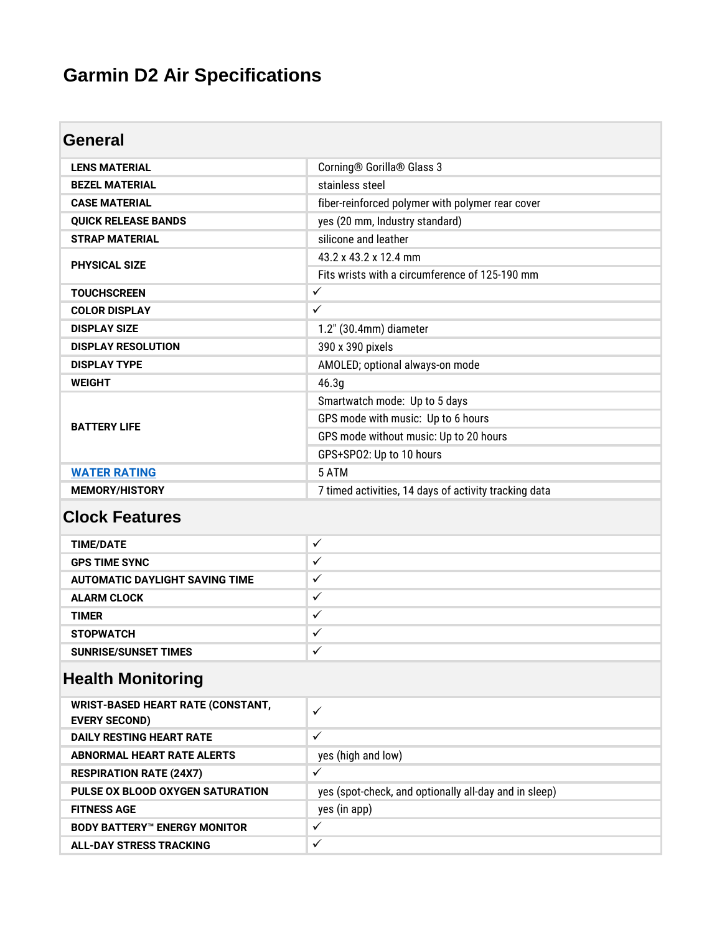# **Garmin D2 Air Specifications**

#### **General**

| <b>LENS MATERIAL</b>       | Corning® Gorilla® Glass 3                             |
|----------------------------|-------------------------------------------------------|
| <b>BEZEL MATERIAL</b>      | stainless steel                                       |
| <b>CASE MATERIAL</b>       | fiber-reinforced polymer with polymer rear cover      |
| <b>QUICK RELEASE BANDS</b> | yes (20 mm, Industry standard)                        |
| <b>STRAP MATERIAL</b>      | silicone and leather                                  |
| <b>PHYSICAL SIZE</b>       | 43.2 x 43.2 x 12.4 mm                                 |
|                            | Fits wrists with a circumference of 125-190 mm        |
| <b>TOUCHSCREEN</b>         | $\checkmark$                                          |
| <b>COLOR DISPLAY</b>       | $\checkmark$                                          |
| <b>DISPLAY SIZE</b>        | 1.2" (30.4mm) diameter                                |
| <b>DISPLAY RESOLUTION</b>  | 390 x 390 pixels                                      |
| <b>DISPLAY TYPE</b>        | AMOLED; optional always-on mode                       |
| <b>WEIGHT</b>              | 46.3g                                                 |
| <b>BATTERY LIFE</b>        | Smartwatch mode: Up to 5 days                         |
|                            | GPS mode with music: Up to 6 hours                    |
|                            | GPS mode without music: Up to 20 hours                |
|                            | GPS+SP02: Up to 10 hours                              |
| <b>WATER RATING</b>        | 5 ATM                                                 |
| <b>MEMORY/HISTORY</b>      | 7 timed activities, 14 days of activity tracking data |
|                            |                                                       |

### **Clock Features**

| <b>TIME/DATE</b>               |              |
|--------------------------------|--------------|
| <b>GPS TIME SYNC</b>           | $\checkmark$ |
| AUTOMATIC DAYLIGHT SAVING TIME | $\checkmark$ |
| <b>ALARM CLOCK</b>             |              |
| <b>TIMER</b>                   |              |
| <b>STOPWATCH</b>               | $\cdot$      |
| <b>SUNRISE/SUNSET TIMES</b>    |              |

## **Health Monitoring**

| ✓                                                     |
|-------------------------------------------------------|
|                                                       |
| ✓                                                     |
| yes (high and low)                                    |
|                                                       |
| ✓                                                     |
| yes (spot-check, and optionally all-day and in sleep) |
|                                                       |
| yes (in app)                                          |
| ✓                                                     |
|                                                       |
| ✓                                                     |
|                                                       |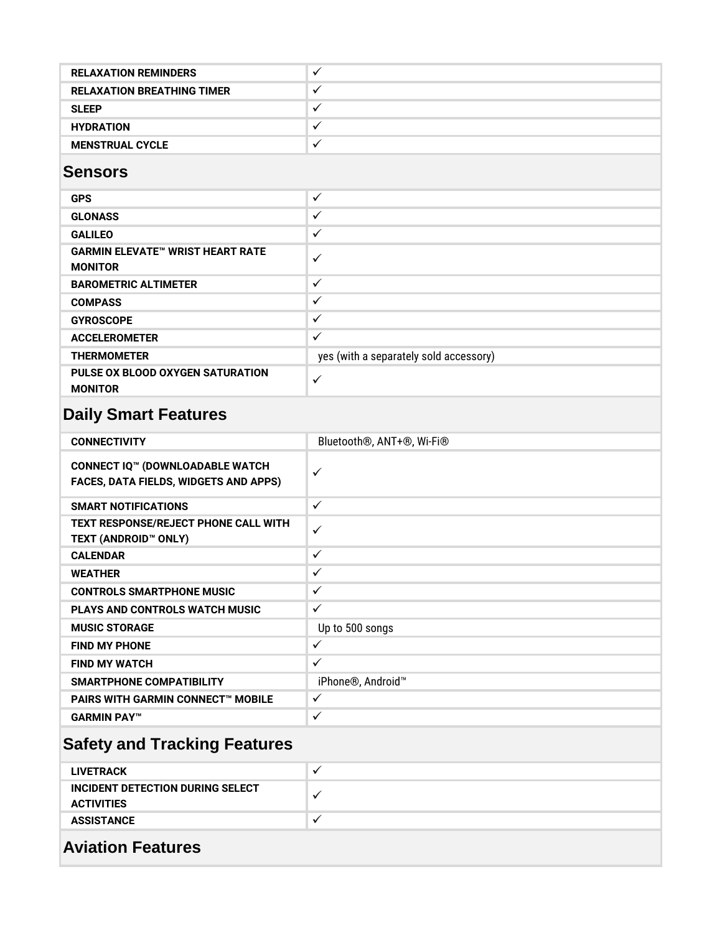| <b>RELAXATION REMINDERS</b>       |  |
|-----------------------------------|--|
| <b>RELAXATION BREATHING TIMER</b> |  |
| <b>SLEEP</b>                      |  |
| <b>HYDRATION</b>                  |  |
| <b>MENSTRUAL CYCLE</b>            |  |

#### **Sensors**

| <b>GPS</b>                                                | $\checkmark$                           |
|-----------------------------------------------------------|----------------------------------------|
| <b>GLONASS</b>                                            | $\checkmark$                           |
| <b>GALILEO</b>                                            | ✓                                      |
| <b>GARMIN ELEVATE™ WRIST HEART RATE</b><br><b>MONITOR</b> | $\checkmark$                           |
| <b>BAROMETRIC ALTIMETER</b>                               | $\checkmark$                           |
| <b>COMPASS</b>                                            | $\checkmark$                           |
| <b>GYROSCOPE</b>                                          | ✓                                      |
| <b>ACCELEROMETER</b>                                      | $\checkmark$                           |
| <b>THERMOMETER</b>                                        | yes (with a separately sold accessory) |
| PULSE OX BLOOD OXYGEN SATURATION<br><b>MONITOR</b>        | $\checkmark$                           |

## **Daily Smart Features**

| <b>CONNECTIVITY</b>                                                      | Bluetooth <sup>®</sup> , ANT+ <sup>®</sup> , Wi-Fi <sup>®</sup> |
|--------------------------------------------------------------------------|-----------------------------------------------------------------|
| CONNECT IQ™ (DOWNLOADABLE WATCH<br>FACES, DATA FIELDS, WIDGETS AND APPS) | $\checkmark$                                                    |
| <b>SMART NOTIFICATIONS</b>                                               | $\checkmark$                                                    |
| <b>TEXT RESPONSE/REJECT PHONE CALL WITH</b><br>TEXT (ANDROID™ ONLY)      | $\checkmark$                                                    |
| <b>CALENDAR</b>                                                          | $\checkmark$                                                    |
| <b>WEATHER</b>                                                           | $\checkmark$                                                    |
| <b>CONTROLS SMARTPHONE MUSIC</b>                                         | $\checkmark$                                                    |
| PLAYS AND CONTROLS WATCH MUSIC                                           | $\checkmark$                                                    |
| <b>MUSIC STORAGE</b>                                                     | Up to 500 songs                                                 |
| <b>FIND MY PHONE</b>                                                     | $\checkmark$                                                    |
| <b>FIND MY WATCH</b>                                                     | $\checkmark$                                                    |
| <b>SMARTPHONE COMPATIBILITY</b>                                          | iPhone®, Android <sup>™</sup>                                   |
| <b>PAIRS WITH GARMIN CONNECT™ MOBILE</b>                                 | $\checkmark$                                                    |
| <b>GARMIN PAY™</b>                                                       | $\checkmark$                                                    |
| <b>Safety and Tracking Features</b>                                      |                                                                 |
| <b>LIVETRACK</b>                                                         | $\checkmark$                                                    |
| <b>INCIDENT DETECTION DURING SELECT</b><br><b>ACTIVITIES</b>             | $\checkmark$                                                    |
| <b>ASSISTANCE</b>                                                        | $\checkmark$                                                    |
| <b>Aviation Features</b>                                                 |                                                                 |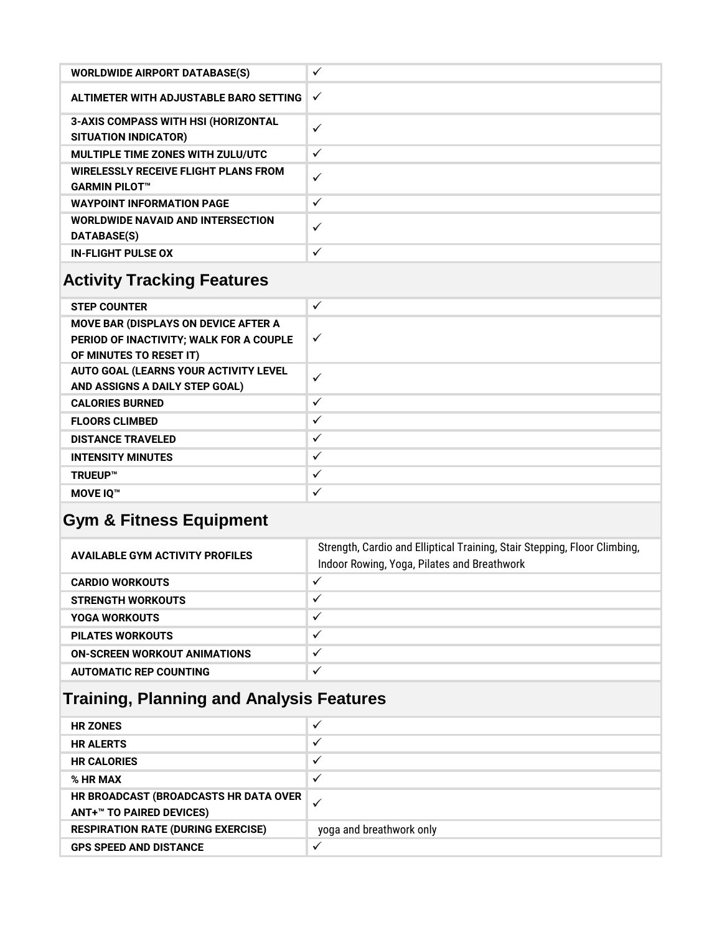| <b>WORLDWIDE AIRPORT DATABASE(S)</b>                         | $\checkmark$ |
|--------------------------------------------------------------|--------------|
| ALTIMETER WITH ADJUSTABLE BARO SETTING                       | $\checkmark$ |
| 3-AXIS COMPASS WITH HSI (HORIZONTAL<br>SITUATION INDICATOR)  | ✓            |
| <b>MULTIPLE TIME ZONES WITH ZULU/UTC</b>                     | $\checkmark$ |
| WIRELESSLY RECEIVE FLIGHT PLANS FROM<br><b>GARMIN PILOT™</b> | ✓            |
| <b>WAYPOINT INFORMATION PAGE</b>                             | ✓            |
| <b>WORLDWIDE NAVAID AND INTERSECTION</b><br>DATABASE(S)      | $\checkmark$ |
| <b>IN-FLIGHT PULSE OX</b>                                    | ✓            |

## **Activity Tracking Features**

| <b>STEP COUNTER</b>                                                                                        | $\checkmark$ |
|------------------------------------------------------------------------------------------------------------|--------------|
| MOVE BAR (DISPLAYS ON DEVICE AFTER A<br>PERIOD OF INACTIVITY; WALK FOR A COUPLE<br>OF MINUTES TO RESET IT) | $\checkmark$ |
| AUTO GOAL (LEARNS YOUR ACTIVITY LEVEL<br>AND ASSIGNS A DAILY STEP GOAL)                                    | $\checkmark$ |
| <b>CALORIES BURNED</b>                                                                                     | $\checkmark$ |
| <b>FLOORS CLIMBED</b>                                                                                      | $\checkmark$ |
| <b>DISTANCE TRAVELED</b>                                                                                   | $\checkmark$ |
| <b>INTENSITY MINUTES</b>                                                                                   | $\checkmark$ |
| <b>TRUEUP™</b>                                                                                             | $\checkmark$ |
| <b>MOVE IO™</b>                                                                                            | $\checkmark$ |

## **Gym & Fitness Equipment**

| <b>AVAILABLE GYM ACTIVITY PROFILES</b> | Strength, Cardio and Elliptical Training, Stair Stepping, Floor Climbing,<br>Indoor Rowing, Yoga, Pilates and Breathwork |
|----------------------------------------|--------------------------------------------------------------------------------------------------------------------------|
| <b>CARDIO WORKOUTS</b>                 | $\checkmark$                                                                                                             |
| <b>STRENGTH WORKOUTS</b>               | ✓                                                                                                                        |
| <b>YOGA WORKOUTS</b>                   | ✓                                                                                                                        |
| <b>PILATES WORKOUTS</b>                | ✓                                                                                                                        |
| <b>ON-SCREEN WORKOUT ANIMATIONS</b>    | $\checkmark$                                                                                                             |
| <b>AUTOMATIC REP COUNTING</b>          | $\checkmark$                                                                                                             |

## **Training, Planning and Analysis Features**

| <b>HR ZONES</b>                                                   | ✓                        |
|-------------------------------------------------------------------|--------------------------|
| <b>HR ALERTS</b>                                                  | $\checkmark$             |
| <b>HR CALORIES</b>                                                | $\checkmark$             |
| % HR MAX                                                          | $\checkmark$             |
| HR BROADCAST (BROADCASTS HR DATA OVER<br>ANT+™ TO PAIRED DEVICES) |                          |
| <b>RESPIRATION RATE (DURING EXERCISE)</b>                         | yoga and breathwork only |
| <b>GPS SPEED AND DISTANCE</b>                                     | J                        |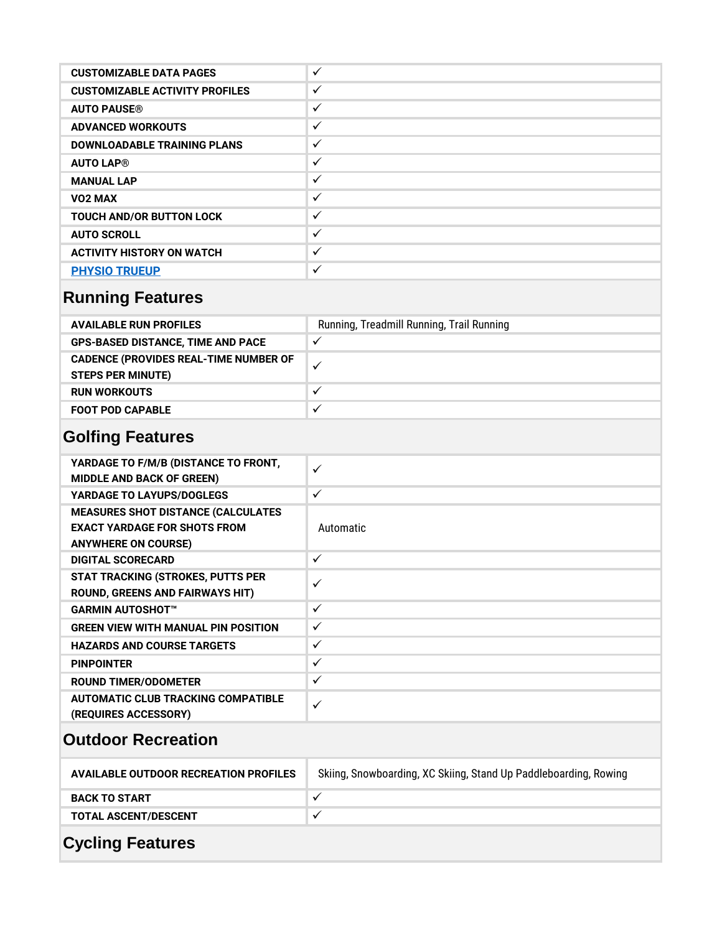| <b>CUSTOMIZABLE DATA PAGES</b>        | ✓            |
|---------------------------------------|--------------|
| <b>CUSTOMIZABLE ACTIVITY PROFILES</b> | $\checkmark$ |
| <b>AUTO PAUSE®</b>                    | ✓            |
| <b>ADVANCED WORKOUTS</b>              | ✓            |
| <b>DOWNLOADABLE TRAINING PLANS</b>    | ✓            |
| <b>AUTO LAP®</b>                      | ✓            |
| <b>MANUAL LAP</b>                     | $\checkmark$ |
| VO <sub>2</sub> MAX                   | $\checkmark$ |
| <b>TOUCH AND/OR BUTTON LOCK</b>       | ✓            |
| <b>AUTO SCROLL</b>                    | ✓            |
| <b>ACTIVITY HISTORY ON WATCH</b>      | ✓            |
| <b>PHYSIO TRUEUP</b>                  | ✓            |

## **Running Features**

| <b>AVAILABLE RUN PROFILES</b>                                            | Running, Treadmill Running, Trail Running |
|--------------------------------------------------------------------------|-------------------------------------------|
| <b>GPS-BASED DISTANCE, TIME AND PACE</b>                                 |                                           |
| <b>CADENCE (PROVIDES REAL-TIME NUMBER OF</b><br><b>STEPS PER MINUTE)</b> |                                           |
| <b>RUN WORKOUTS</b>                                                      | $\checkmark$                              |
| <b>FOOT POD CAPABLE</b>                                                  |                                           |

## **Golfing Features**

| YARDAGE TO F/M/B (DISTANCE TO FRONT,       | $\checkmark$ |
|--------------------------------------------|--------------|
| <b>MIDDLE AND BACK OF GREEN)</b>           |              |
| YARDAGE TO LAYUPS/DOGLEGS                  | $\checkmark$ |
| <b>MEASURES SHOT DISTANCE (CALCULATES)</b> |              |
| <b>EXACT YARDAGE FOR SHOTS FROM</b>        | Automatic    |
| <b>ANYWHERE ON COURSE)</b>                 |              |
| <b>DIGITAL SCORECARD</b>                   | $\checkmark$ |
| STAT TRACKING (STROKES, PUTTS PER          | $\checkmark$ |
| <b>ROUND, GREENS AND FAIRWAYS HIT)</b>     |              |
| <b>GARMIN AUTOSHOT™</b>                    | $\checkmark$ |
| <b>GREEN VIEW WITH MANUAL PIN POSITION</b> | $\checkmark$ |
| <b>HAZARDS AND COURSE TARGETS</b>          | $\checkmark$ |
| <b>PINPOINTER</b>                          | $\checkmark$ |
| <b>ROUND TIMER/ODOMETER</b>                | $\checkmark$ |
| <b>AUTOMATIC CLUB TRACKING COMPATIBLE</b>  | $\checkmark$ |
| (REQUIRES ACCESSORY)                       |              |
|                                            |              |

#### **Outdoor Recreation**

| <b>AVAILABLE OUTDOOR RECREATION PROFILES</b> | Skiing, Snowboarding, XC Skiing, Stand Up Paddleboarding, Rowing |
|----------------------------------------------|------------------------------------------------------------------|
| <b>BACK TO START</b>                         |                                                                  |
| <b>TOTAL ASCENT/DESCENT</b>                  |                                                                  |
|                                              |                                                                  |

#### **Cycling Features**